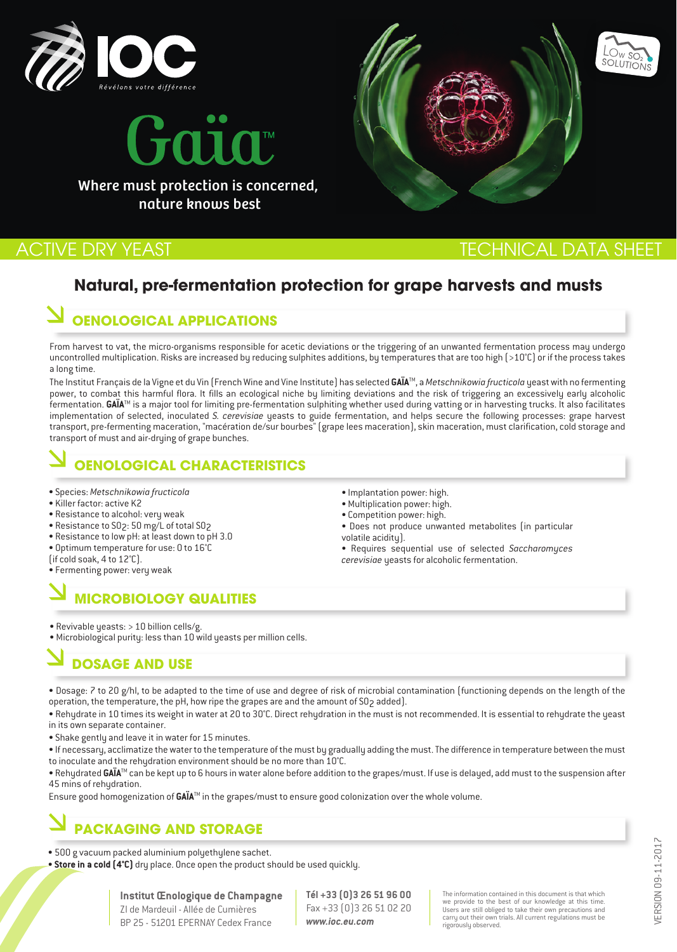



nature knows best

# ACTIVE DRY YEAST THE CHINE AND TECHNICAL DATA SHEET

LO<sub>W</sub> SO<sub>2</sub>

# **Natural, pre-fermentation protection for grape harvests and musts**

# **OENOLOGICAL APPLICATIONS**

From harvest to vat, the micro-organisms responsible for acetic deviations or the triggering of an unwanted fermentation process may undergo uncontrolled multiplication. Risks are increased by reducing sulphites additions, by temperatures that are too high (>10°C) or if the process takes a long time.

The Institut Français de la Vigne et du Vin (French Wine and Vine Institute) has selected **GAÏA**TM, a *Metschnikowia fructicola* yeast with no fermenting power, to combat this harmful flora. It fills an ecological niche by limiting deviations and the risk of triggering an excessively early alcoholic fermentation. GAÏA<sup>™</sup> is a major tool for limiting pre-fermentation sulphiting whether used during vatting or in harvesting trucks. It also facilitates implementation of selected, inoculated *S. cerevisiae* yeasts to guide fermentation, and helps secure the following processes: grape harvest transport, pre-fermenting maceration, "macération de/sur bourbes" (grape lees maceration), skin maceration, must clarification, cold storage and transport of must and air-drying of grape bunches.

# **OENOLOGICAL CHARACTERISTICS**

- Species: *Metschnikowia fructicola*
- Killer factor: active K2
- Resistance to alcohol: very weak
- Resistance to SO2: 50 mg/L of total SO2
- Resistance to low pH: at least down to pH 3.0
- Optimum temperature for use: 0 to 16°C
- (if cold soak, 4 to 12°C).
- Fermenting power: very weak

# **MICROBIOLOGY QUALITIES**

- Implantation power: high.
- Multiplication power: high.
- Competition power: high.
- Does not produce unwanted metabolites (in particular volatile acidity).
- Requires sequential use of selected *Saccharomyces cerevisiae* yeasts for alcoholic fermentation.

• Revivable yeasts: > 10 billion cells/g.

• Microbiological purity: less than 10 wild yeasts per million cells.

# **DOSAGE AND USE**

• Dosage: 7 to 20 g/hl, to be adapted to the time of use and degree of risk of microbial contamination (functioning depends on the length of the operation, the temperature, the pH, how ripe the grapes are and the amount of SO<sub>2</sub> added).

• Rehydrate in 10 times its weight in water at 20 to 30°C. Direct rehydration in the must is not recommended. It is essential to rehydrate the yeast in its own separate container.

• Shake gently and leave it in water for 15 minutes.

• If necessary, acclimatize the water to the temperature of the must by gradually adding the must. The difference in temperature between the must to inoculate and the rehydration environment should be no more than 10°C.

· Rehydrated GAÏA™ can be kept up to 6 hours in water alone before addition to the grapes/must. If use is delayed, add must to the suspension after 45 mins of rehydration.

Ensure good homogenization of **GAÏA**TM in the grapes/must to ensure good colonization over the whole volume.

# **PACKAGING AND STORAGE**

- 500 g vacuum packed aluminium polyethylene sachet.
- **Store in a cold (4°C)** dry place. Once open the product should be used quickly.

### **Institut Œnologique de Champagne**

ZI de Mardeuil - Allée de Cumières BP 25 - 51201 EPERNAY Cedex France **Tél +33 (0)3 26 51 96 00** Fax +33 (0)3 26 51 02 20 *www.ioc.eu.com*

The information contained in this document is that which we provide to the best of our knowledge at this time. Users are still obliged to take their own precautions and carry out their own trials. All current regulations must be rigorously observed.